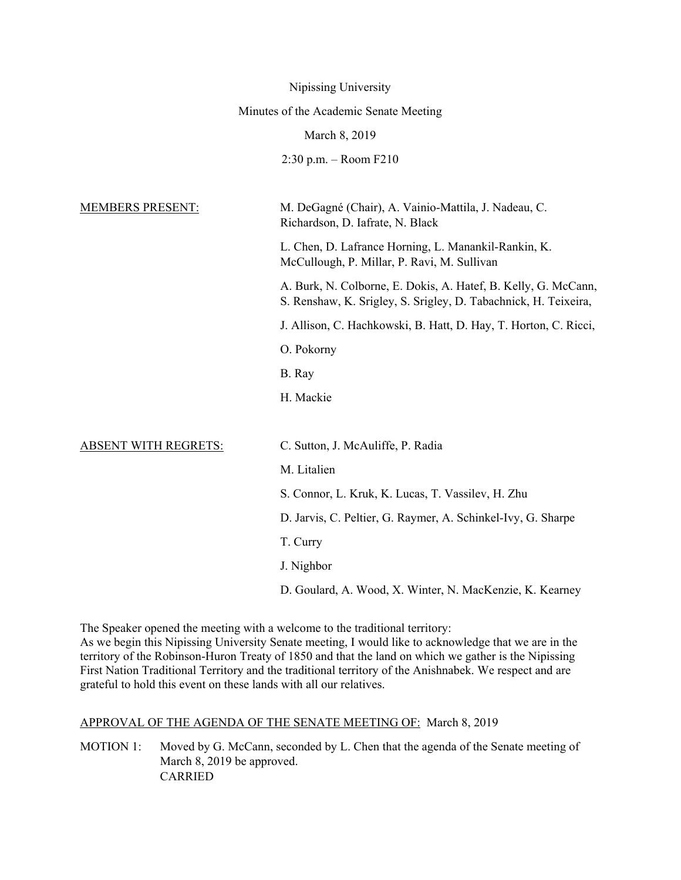|                             | Nipissing University                                                                                                                    |
|-----------------------------|-----------------------------------------------------------------------------------------------------------------------------------------|
|                             | Minutes of the Academic Senate Meeting                                                                                                  |
|                             | March 8, 2019                                                                                                                           |
|                             | $2:30$ p.m. – Room $F210$                                                                                                               |
| <b>MEMBERS PRESENT:</b>     | M. DeGagné (Chair), A. Vainio-Mattila, J. Nadeau, C.                                                                                    |
|                             | Richardson, D. Iafrate, N. Black<br>L. Chen, D. Lafrance Horning, L. Manankil-Rankin, K.<br>McCullough, P. Millar, P. Ravi, M. Sullivan |
|                             | A. Burk, N. Colborne, E. Dokis, A. Hatef, B. Kelly, G. McCann,<br>S. Renshaw, K. Srigley, S. Srigley, D. Tabachnick, H. Teixeira,       |
|                             | J. Allison, C. Hachkowski, B. Hatt, D. Hay, T. Horton, C. Ricci,                                                                        |
|                             | O. Pokorny                                                                                                                              |
|                             | B. Ray                                                                                                                                  |
|                             | H. Mackie                                                                                                                               |
|                             |                                                                                                                                         |
| <b>ABSENT WITH REGRETS:</b> | C. Sutton, J. McAuliffe, P. Radia                                                                                                       |
|                             | M. Litalien                                                                                                                             |
|                             | S. Connor, L. Kruk, K. Lucas, T. Vassilev, H. Zhu                                                                                       |
|                             | D. Jarvis, C. Peltier, G. Raymer, A. Schinkel-Ivy, G. Sharpe                                                                            |
|                             | T. Curry                                                                                                                                |
|                             | J. Nighbor                                                                                                                              |
|                             | D. Goulard, A. Wood, X. Winter, N. MacKenzie, K. Kearney                                                                                |

The Speaker opened the meeting with a welcome to the traditional territory: As we begin this Nipissing University Senate meeting, I would like to acknowledge that we are in the territory of the Robinson-Huron Treaty of 1850 and that the land on which we gather is the Nipissing First Nation Traditional Territory and the traditional territory of the Anishnabek. We respect and are grateful to hold this event on these lands with all our relatives.

# APPROVAL OF THE AGENDA OF THE SENATE MEETING OF: March 8, 2019

MOTION 1: Moved by G. McCann, seconded by L. Chen that the agenda of the Senate meeting of March 8, 2019 be approved. CARRIED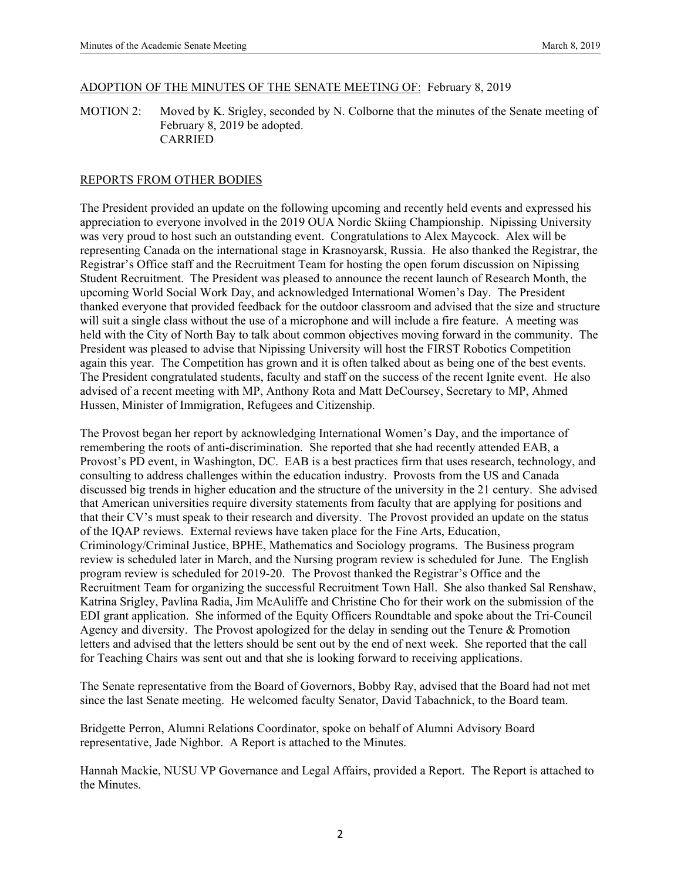#### ADOPTION OF THE MINUTES OF THE SENATE MEETING OF: February 8, 2019

MOTION 2: Moved by K. Srigley, seconded by N. Colborne that the minutes of the Senate meeting of February 8, 2019 be adopted. CARRIED

## REPORTS FROM OTHER BODIES

The President provided an update on the following upcoming and recently held events and expressed his appreciation to everyone involved in the 2019 OUA Nordic Skiing Championship. Nipissing University was very proud to host such an outstanding event. Congratulations to Alex Maycock. Alex will be representing Canada on the international stage in Krasnoyarsk, Russia. He also thanked the Registrar, the Registrar's Office staff and the Recruitment Team for hosting the open forum discussion on Nipissing Student Recruitment. The President was pleased to announce the recent launch of Research Month, the upcoming World Social Work Day, and acknowledged International Women's Day. The President thanked everyone that provided feedback for the outdoor classroom and advised that the size and structure will suit a single class without the use of a microphone and will include a fire feature. A meeting was held with the City of North Bay to talk about common objectives moving forward in the community. The President was pleased to advise that Nipissing University will host the FIRST Robotics Competition again this year. The Competition has grown and it is often talked about as being one of the best events. The President congratulated students, faculty and staff on the success of the recent Ignite event. He also advised of a recent meeting with MP, Anthony Rota and Matt DeCoursey, Secretary to MP, Ahmed Hussen, Minister of Immigration, Refugees and Citizenship.

The Provost began her report by acknowledging International Women's Day, and the importance of remembering the roots of anti-discrimination. She reported that she had recently attended EAB, a Provost's PD event, in Washington, DC. EAB is a best practices firm that uses research, technology, and consulting to address challenges within the education industry. Provosts from the US and Canada discussed big trends in higher education and the structure of the university in the 21 century. She advised that American universities require diversity statements from faculty that are applying for positions and that their CV's must speak to their research and diversity. The Provost provided an update on the status of the IQAP reviews. External reviews have taken place for the Fine Arts, Education, Criminology/Criminal Justice, BPHE, Mathematics and Sociology programs. The Business program review is scheduled later in March, and the Nursing program review is scheduled for June. The English program review is scheduled for 2019-20. The Provost thanked the Registrar's Office and the Recruitment Team for organizing the successful Recruitment Town Hall. She also thanked Sal Renshaw, Katrina Srigley, Pavlina Radia, Jim McAuliffe and Christine Cho for their work on the submission of the EDI grant application. She informed of the Equity Officers Roundtable and spoke about the Tri-Council Agency and diversity. The Provost apologized for the delay in sending out the Tenure & Promotion letters and advised that the letters should be sent out by the end of next week. She reported that the call for Teaching Chairs was sent out and that she is looking forward to receiving applications.

The Senate representative from the Board of Governors, Bobby Ray, advised that the Board had not met since the last Senate meeting. He welcomed faculty Senator, David Tabachnick, to the Board team.

Bridgette Perron, Alumni Relations Coordinator, spoke on behalf of Alumni Advisory Board representative, Jade Nighbor. A Report is attached to the Minutes.

Hannah Mackie, NUSU VP Governance and Legal Affairs, provided a Report. The Report is attached to the Minutes.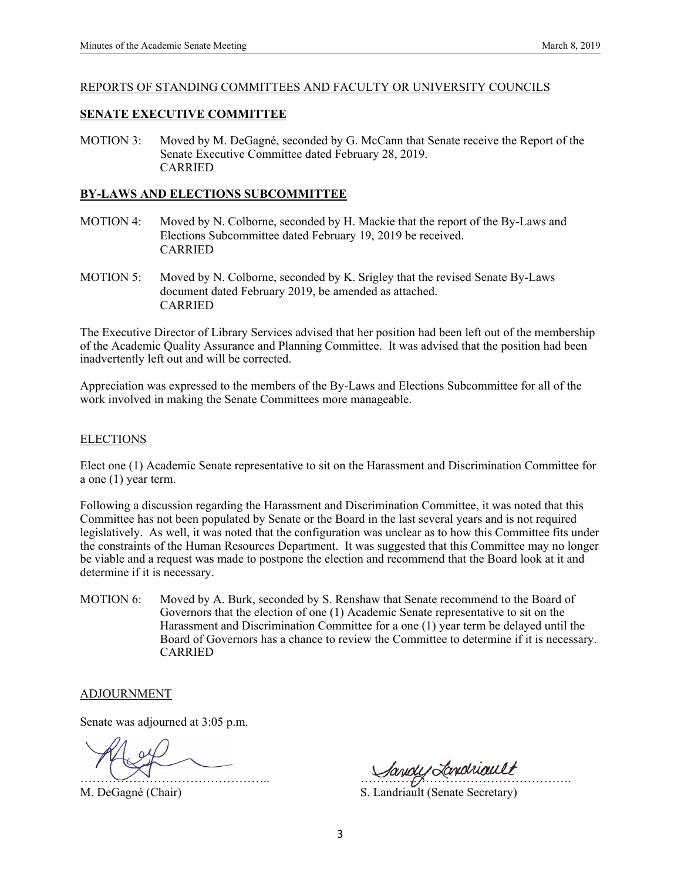#### REPORTS OF STANDING COMMITTEES AND FACULTY OR UNIVERSITY COUNCILS

## **SENATE EXECUTIVE COMMITTEE**

MOTION 3: Moved by M. DeGagné, seconded by G. McCann that Senate receive the Report of the Senate Executive Committee dated February 28, 2019. CARRIED

### **BY-LAWS AND ELECTIONS SUBCOMMITTEE**

- MOTION 4: Moved by N. Colborne, seconded by H. Mackie that the report of the By-Laws and Elections Subcommittee dated February 19, 2019 be received. CARRIED
- MOTION 5: Moved by N. Colborne, seconded by K. Srigley that the revised Senate By-Laws document dated February 2019, be amended as attached. CARRIED

The Executive Director of Library Services advised that her position had been left out of the membership of the Academic Quality Assurance and Planning Committee. It was advised that the position had been inadvertently left out and will be corrected.

Appreciation was expressed to the members of the By-Laws and Elections Subcommittee for all of the work involved in making the Senate Committees more manageable.

#### **ELECTIONS**

Elect one (1) Academic Senate representative to sit on the Harassment and Discrimination Committee for a one (1) year term.

Following a discussion regarding the Harassment and Discrimination Committee, it was noted that this Committee has not been populated by Senate or the Board in the last several years and is not required legislatively. As well, it was noted that the configuration was unclear as to how this Committee fits under the constraints of the Human Resources Department. It was suggested that this Committee may no longer be viable and a request was made to postpone the election and recommend that the Board look at it and determine if it is necessary.

MOTION 6: Moved by A. Burk, seconded by S. Renshaw that Senate recommend to the Board of Governors that the election of one (1) Academic Senate representative to sit on the Harassment and Discrimination Committee for a one (1) year term be delayed until the Board of Governors has a chance to review the Committee to determine if it is necessary. CARRIED

#### ADJOURNMENT

Senate was adjourned at 3:05 p.m.

M. DeGagné (Chair) S. Landriault (Senate Secretary)

Sandy Londriault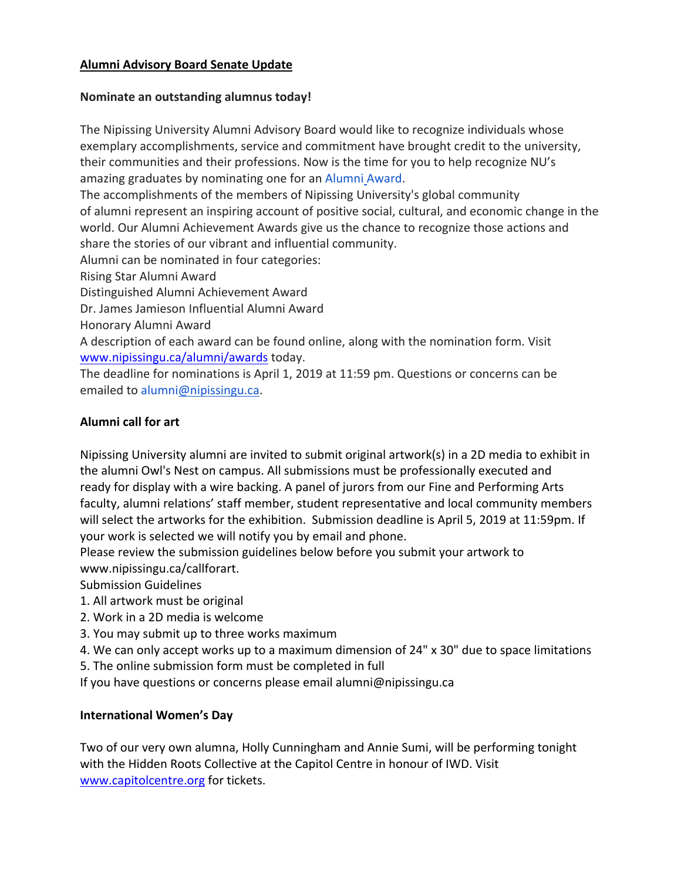# **Alumni Advisory Board Senate Update**

# **Nominate an outstanding alumnus today!**

The Nipissing University Alumni Advisory Board would like to recognize individuals whose exemplary accomplishments, service and commitment have brought credit to the university, their communities and their professions. Now is the time for you to help recognize NU's amazing graduates by nominating one for an Alumni Award.

The accomplishments of the members of Nipissing University's global community of alumni represent an inspiring account of positive social, cultural, and economic change in the world. Our Alumni Achievement Awards give us the chance to recognize those actions and share the stories of our vibrant and influential community.

Alumni can be nominated in four categories:

Rising Star Alumni Award

Distinguished Alumni Achievement Award

Dr. James Jamieson Influential Alumni Award

Honorary Alumni Award

A description of each award can be found online, along with the nomination form. Visit www.nipissingu.ca/alumni/awards today.

The deadline for nominations is April 1, 2019 at 11:59 pm. Questions or concerns can be emailed to alumni@nipissingu.ca.

# **Alumni call for art**

Nipissing University alumni are invited to submit original artwork(s) in a 2D media to exhibit in the alumni Owl's Nest on campus. All submissions must be professionally executed and ready for display with a wire backing. A panel of jurors from our Fine and Performing Arts faculty, alumni relations' staff member, student representative and local community members will select the artworks for the exhibition. Submission deadline is April 5, 2019 at 11:59pm. If your work is selected we will notify you by email and phone.

Please review the submission guidelines below before you submit your artwork to www.nipissingu.ca/callforart.

Submission Guidelines

- 1. All artwork must be original
- 2. Work in a 2D media is welcome
- 3. You may submit up to three works maximum
- 4. We can only accept works up to a maximum dimension of 24" x 30" due to space limitations
- 5. The online submission form must be completed in full

If you have questions or concerns please email alumni@nipissingu.ca

# **International Women's Day**

Two of our very own alumna, Holly Cunningham and Annie Sumi, will be performing tonight with the Hidden Roots Collective at the Capitol Centre in honour of IWD. Visit www.capitolcentre.org for tickets.